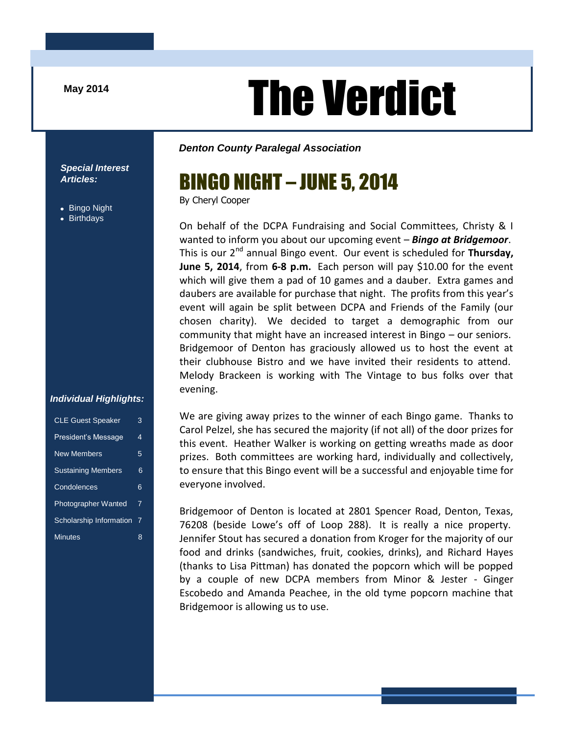# The Verdict

*Denton County Paralegal Association*

*Special Interest Articles:*

- Bingo Night
- **Birthdays**

### By Cheryl Cooper

BINGO NIGHT – JUNE 5, 2014

On behalf of the DCPA Fundraising and Social Committees, Christy & I wanted to inform you about our upcoming event – *Bingo at Bridgemoor*. This is our 2<sup>nd</sup> annual Bingo event. Our event is scheduled for **Thursday, June 5, 2014**, from **6-8 p.m.** Each person will pay \$10.00 for the event which will give them a pad of 10 games and a dauber. Extra games and daubers are available for purchase that night. The profits from this year's event will again be split between DCPA and Friends of the Family (our chosen charity). We decided to target a demographic from our community that might have an increased interest in Bingo – our seniors. Bridgemoor of Denton has graciously allowed us to host the event at their clubhouse Bistro and we have invited their residents to attend. Melody Brackeen is working with The Vintage to bus folks over that evening.

We are giving away prizes to the winner of each Bingo game. Thanks to Carol Pelzel, she has secured the majority (if not all) of the door prizes for this event. Heather Walker is working on getting wreaths made as door prizes. Both committees are working hard, individually and collectively, to ensure that this Bingo event will be a successful and enjoyable time for everyone involved.

Bridgemoor of Denton is located at 2801 Spencer Road, Denton, Texas, 76208 (beside Lowe's off of Loop 288). It is really a nice property. Jennifer Stout has secured a donation from Kroger for the majority of our food and drinks (sandwiches, fruit, cookies, drinks), and Richard Hayes (thanks to Lisa Pittman) has donated the popcorn which will be popped by a couple of new DCPA members from Minor & Jester - Ginger Escobedo and Amanda Peachee, in the old tyme popcorn machine that Bridgemoor is allowing us to use.

#### *Individual Highlights:*

| <b>CLE Guest Speaker</b>   | 3 |
|----------------------------|---|
| President's Message        | 4 |
| <b>New Members</b>         | 5 |
| <b>Sustaining Members</b>  | 6 |
| Condolences                | 6 |
| <b>Photographer Wanted</b> | 7 |
| Scholarship Information    | 7 |
| <b>Minutes</b>             | 8 |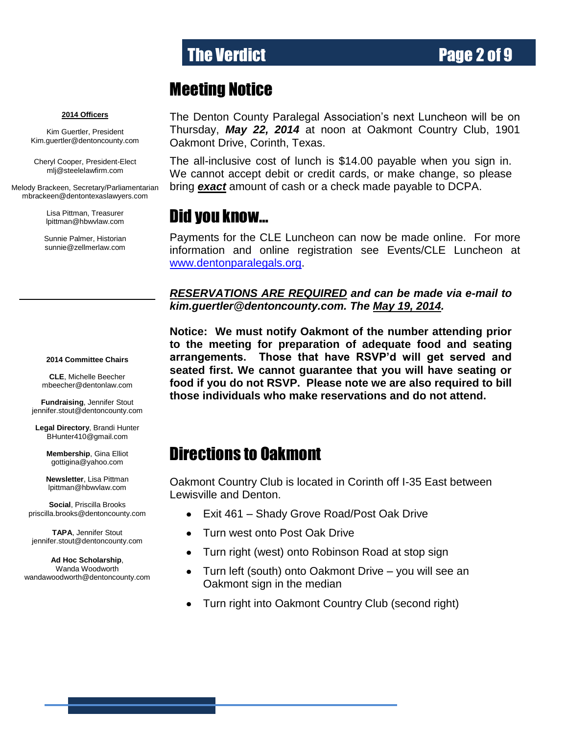# The Verdict **Page 2 of 9**

### Meeting Notice

**2014 Officers**

Kim Guertler, President [Kim.guertler@dentoncounty.com](mailto:Kim.guertler@dentoncounty.com)

Cheryl Cooper, President-Elect mlj@steelelawfirm.com

Melody Brackeen, Secretary/Parliamentarian mbrackeen@dentontexaslawyers.com

> Lisa Pittman, Treasurer [lpittman@hbwvlaw.com](mailto:lpittman@hbwvlaw.com)

Sunnie Palmer, Historian sunnie@zellmerlaw.com

#### **2014 Committee Chairs**

**CLE**, Michelle Beecher [mbeecher@dentonlaw.com](mailto:Vicki@cmloveless.com)

**Fundraising**, Jennifer Stout [jennifer.stout@dentoncounty.com](mailto:mbeecher@dentonlaw.com)

**Legal Directory**, Brandi Hunter [BHunter410@gmail.com](mailto:BHunter410@gmail.com)

> **Membership**, Gina Elliot [gottigina@yahoo.com](mailto:gottigina@yahoo.com)

> **Newsletter**, Lisa Pittman [lpittman@hbwvlaw.com](mailto:lpittman@hbwvlaw.com)

**Social**, Priscilla Brooks [priscilla.brooks@dentoncounty.com](mailto:cpowell@csplaw.net)

**TAPA**, Jennifer Stout [jennifer.stout@dentoncounty.com](mailto:sunnie@zellmerlaw.com)

**Ad Hoc Scholarship**, Wanda Woodworth [wandawoodworth@dentoncounty.com](mailto:georgya@cokerlaw.com) The Denton County Paralegal Association's next Luncheon will be on Thursday, *May 22, 2014* at noon at Oakmont Country Club, 1901 Oakmont Drive, Corinth, Texas.

The all-inclusive cost of lunch is \$14.00 payable when you sign in. We cannot accept debit or credit cards, or make change, so please bring *exact* amount of cash or a check made payable to DCPA.

### Did you know…

Payments for the CLE Luncheon can now be made online. For more information and online registration see Events/CLE Luncheon at [www.dentonparalegals.org.](http://www.dentonparalegals.org/)

*RESERVATIONS ARE REQUIRED and can be made via e-mail to kim.guertler@dentoncounty.com. The May 19, 2014.*

**Notice: We must notify Oakmont of the number attending prior to the meeting for preparation of adequate food and seating arrangements. Those that have RSVP'd will get served and seated first. We cannot guarantee that you will have seating or food if you do not RSVP. Please note we are also required to bill those individuals who make reservations and do not attend.**

### Directions to Oakmont

Oakmont Country Club is located in Corinth off I-35 East between Lewisville and Denton.

- Exit 461 Shady Grove Road/Post Oak Drive  $\bullet$
- Turn west onto Post Oak Drive  $\bullet$
- Turn right (west) onto Robinson Road at stop sign  $\bullet$
- Turn left (south) onto Oakmont Drive you will see an  $\bullet$ Oakmont sign in the median
- Turn right into Oakmont Country Club (second right)  $\bullet$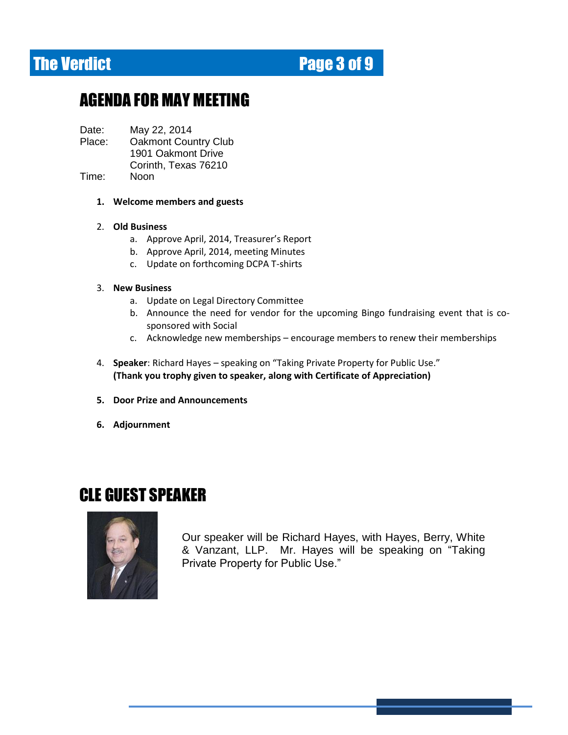# **The Verdict Electronic Electronic Page 3 of 9**

# AGENDA FOR MAY MEETING

Date: May 22, 2014

- Place: Oakmont Country Club 1901 Oakmont Drive Corinth, Texas 76210
- Time: Noon

#### **1. Welcome members and guests**

#### 2. **Old Business**

- a. Approve April, 2014, Treasurer's Report
- b. Approve April, 2014, meeting Minutes
- c. Update on forthcoming DCPA T-shirts

#### 3. **New Business**

- a. Update on Legal Directory Committee
- b. Announce the need for vendor for the upcoming Bingo fundraising event that is cosponsored with Social
- c. Acknowledge new memberships encourage members to renew their memberships
- 4. **Speaker**: Richard Hayes speaking on "Taking Private Property for Public Use." **(Thank you trophy given to speaker, along with Certificate of Appreciation)**
- **5. Door Prize and Announcements**
- **6. Adjournment**

### CLE GUEST SPEAKER



Our speaker will be Richard Hayes, with Hayes, Berry, White & Vanzant, LLP. Mr. Hayes will be speaking on "Taking Private Property for Public Use."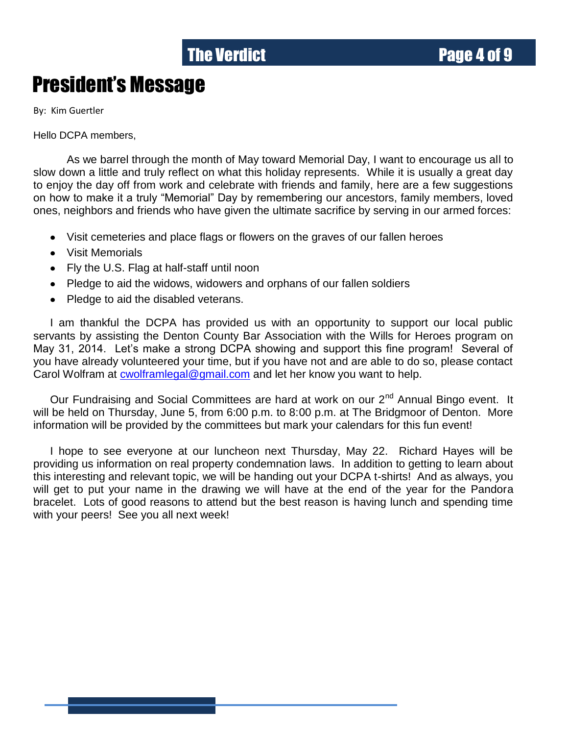# The Verdict **Page 4 of 9**

# President's Message

By: Kim Guertler

Hello DCPA members,

As we barrel through the month of May toward Memorial Day, I want to encourage us all to slow down a little and truly reflect on what this holiday represents. While it is usually a great day to enjoy the day off from work and celebrate with friends and family, here are a few suggestions on how to make it a truly "Memorial" Day by remembering our ancestors, family members, loved ones, neighbors and friends who have given the ultimate sacrifice by serving in our armed forces:

- Visit cemeteries and place flags or flowers on the graves of our fallen heroes
- Visit Memorials  $\bullet$
- Fly the U.S. Flag at half-staff until noon
- Pledge to aid the widows, widowers and orphans of our fallen soldiers
- Pledge to aid the disabled veterans.

I am thankful the DCPA has provided us with an opportunity to support our local public servants by assisting the Denton County Bar Association with the Wills for Heroes program on May 31, 2014. Let's make a strong DCPA showing and support this fine program! Several of you have already volunteered your time, but if you have not and are able to do so, please contact Carol Wolfram at [cwolframlegal@gmail.com](mailto:cwolframlegal@gmail.com) and let her know you want to help.

Our Fundraising and Social Committees are hard at work on our 2<sup>nd</sup> Annual Bingo event. It will be held on Thursday, June 5, from 6:00 p.m. to 8:00 p.m. at The Bridgmoor of Denton. More information will be provided by the committees but mark your calendars for this fun event!

I hope to see everyone at our luncheon next Thursday, May 22. Richard Hayes will be providing us information on real property condemnation laws. In addition to getting to learn about this interesting and relevant topic, we will be handing out your DCPA t-shirts! And as always, you will get to put your name in the drawing we will have at the end of the year for the Pandora bracelet. Lots of good reasons to attend but the best reason is having lunch and spending time with your peers! See you all next week!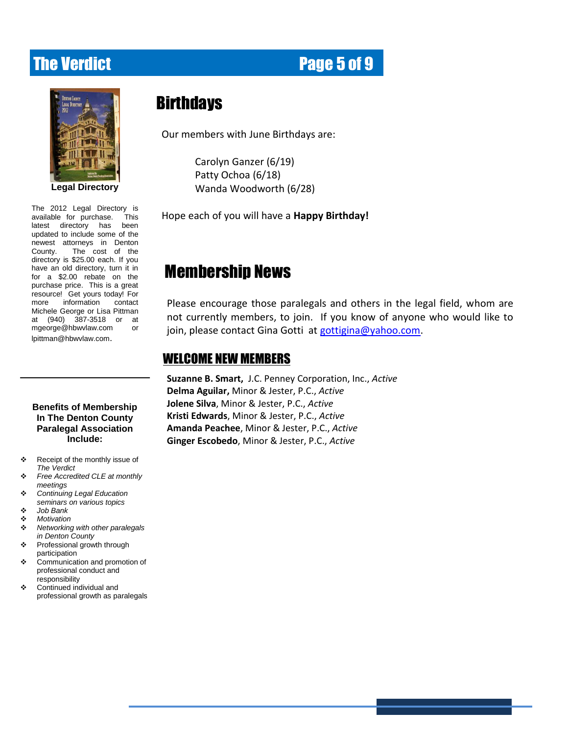### **The Verdict Community Community Page 5 of 9**

| <b>DENTON COUNTY</b><br><b>LEGAL DIRECTORY</b><br>2012 |                        |
|--------------------------------------------------------|------------------------|
|                                                        |                        |
|                                                        |                        |
|                                                        |                        |
|                                                        |                        |
|                                                        |                        |
|                                                        | <b>Legal Directory</b> |

updated to include some of the The 2012 Legal Directory is available for purchase. This latest directory has been newest attorneys in Denton County. The cost of the directory is \$25.00 each. If you have an old directory, turn it in for a \$2.00 rebate on the purchase price. This is a great resource! Get yours today! For more information contact Michele George or Lisa Pittman at (940) 387-3518 or at [mgeorge@hbwvlaw.com](mailto:mgeorge@hbwvlaw.com) or [lpittman@hbwvlaw.com](mailto:lpittman@hbwvlaw.com).

#### **Benefits of Membership In The Denton County Paralegal Association Include:**

- \* Receipt of the monthly issue of *The Verdict*
- *Free Accredited CLE at monthly meetings*
- *Continuing Legal Education seminars on various topics*
- *Job Bank*
- *Motivation*
- *Networking with other paralegals in Denton County*
- Professional growth through participation
- Communication and promotion of professional conduct and responsibility
- Continued individual and professional growth as paralegals

### **Birthdays**

Our members with June Birthdays are:

Carolyn Ganzer (6/19) Patty Ochoa (6/18) Wanda Woodworth (6/28)

Hope each of you will have a **Happy Birthday!**

# Membership News

Please encourage those paralegals and others in the legal field, whom are not currently members, to join. If you know of anyone who would like to join, please contact Gina Gotti at [gottigina@yahoo.com.](mailto:gottigina@yahoo.com)

#### WELCOME NEW MEMBERS

**Suzanne B. Smart,** J.C. Penney Corporation, Inc., *Active* **Delma Aguilar,** Minor & Jester, P.C., *Active* **Jolene Silva**, Minor & Jester, P.C., *Active* **Kristi Edwards**, Minor & Jester, P.C., *Active* **Amanda Peachee**, Minor & Jester, P.C., *Active* **Ginger Escobedo**, Minor & Jester, P.C., *Active*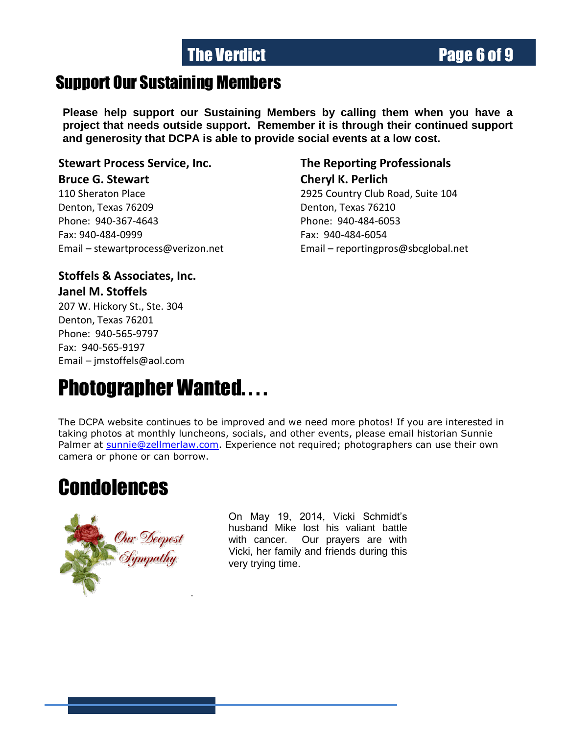# The Verdict **Page 6 of 9**

# Support Our Sustaining Members

**Please help support our Sustaining Members by calling them when you have a project that needs outside support. Remember it is through their continued support and generosity that DCPA is able to provide social events at a low cost.**

**Stewart Process Service, Inc. The Reporting Professionals**

#### **Bruce G. Stewart Cheryl K. Perlich**

Denton, Texas 76209 Denton, Texas 76210 Phone: 940-367-4643 Phone: 940-484-6053 Fax: 940-484-0999 Fax: 940-484-6054

110 Sheraton Place 2925 Country Club Road, Suite 104 Email – [stewartprocess@verizon.net](mailto:stewartprocess@verizon.net) Email – [reportingpros@sbcglobal.net](mailto:reportingpros@sbcglobal.net)

#### **Stoffels & Associates, Inc. Janel M. Stoffels** 207 W. Hickory St., Ste. 304

Denton, Texas 76201 Phone: 940-565-9797 Fax: 940-565-9197 Email – [jmstoffels@aol.com](mailto:jmstoffels@aol.com)

# Photographer Wanted. . . .

The DCPA website continues to be improved and we need more photos! If you are interested in taking photos at monthly luncheons, socials, and other events, please email historian Sunnie Palmer at [sunnie@zellmerlaw.com.](mailto:sunnie@zellmerlaw.com) Experience not required; photographers can use their own camera or phone or can borrow.

# **Condolences**



On May 19, 2014, Vicki Schmidt's husband Mike lost his valiant battle with cancer. Our prayers are with Vicki, her family and friends during this very trying time.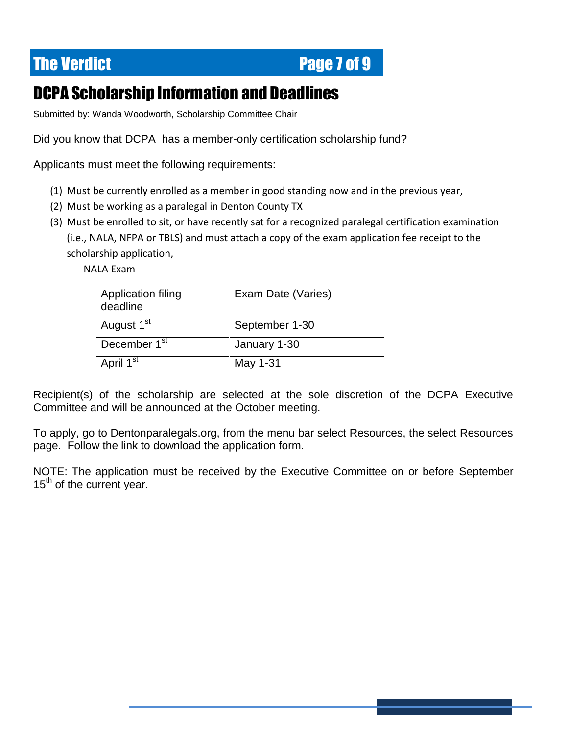# **The Verdict Electronic Electronic Page 7 of 9**

# DCPA Scholarship Information and Deadlines

Submitted by: Wanda Woodworth, Scholarship Committee Chair

Did you know that DCPA has a member-only certification scholarship fund?

Applicants must meet the following requirements:

- (1) Must be currently enrolled as a member in good standing now and in the previous year,
- (2) Must be working as a paralegal in Denton County TX
- (3) Must be enrolled to sit, or have recently sat for a recognized paralegal certification examination (i.e., NALA, NFPA or TBLS) and must attach a copy of the exam application fee receipt to the scholarship application,

NALA Exam

| <b>Application filing</b><br>deadline | Exam Date (Varies) |
|---------------------------------------|--------------------|
| August 1 <sup>st</sup>                | September 1-30     |
| December 1 <sup>st</sup>              | January 1-30       |
| April 1 <sup>st</sup>                 | May 1-31           |

Recipient(s) of the scholarship are selected at the sole discretion of the DCPA Executive Committee and will be announced at the October meeting.

To apply, go to Dentonparalegals.org, from the menu bar select Resources, the select Resources page. Follow the link to download the application form.

NOTE: The application must be received by the Executive Committee on or before September  $15<sup>th</sup>$  of the current year.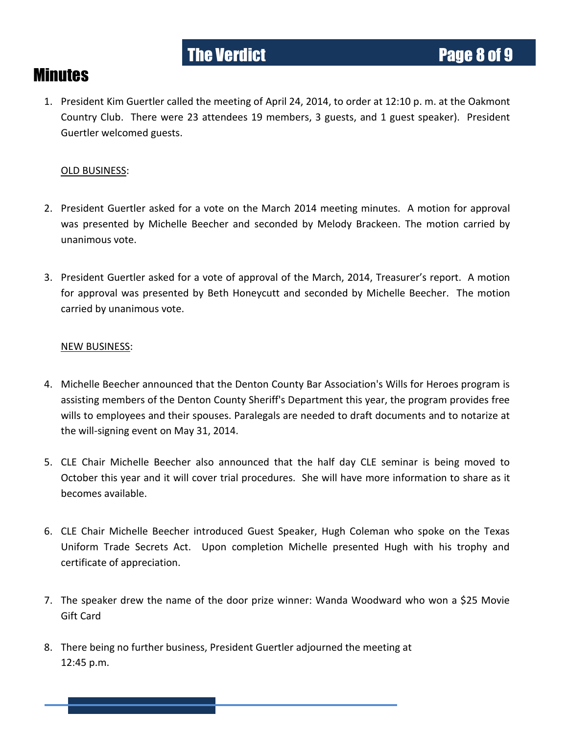#### **Minutes**

1. President Kim Guertler called the meeting of April 24, 2014, to order at 12:10 p. m. at the Oakmont Country Club. There were 23 attendees 19 members, 3 guests, and 1 guest speaker). President Guertler welcomed guests.

#### OLD BUSINESS:

- 2. President Guertler asked for a vote on the March 2014 meeting minutes. A motion for approval was presented by Michelle Beecher and seconded by Melody Brackeen. The motion carried by unanimous vote.
- 3. President Guertler asked for a vote of approval of the March, 2014, Treasurer's report. A motion for approval was presented by Beth Honeycutt and seconded by Michelle Beecher. The motion carried by unanimous vote.

#### NEW BUSINESS:

- 4. Michelle Beecher announced that the Denton County Bar Association's Wills for Heroes program is assisting members of the Denton County Sheriff's Department this year, the program provides free wills to employees and their spouses. Paralegals are needed to draft documents and to notarize at the will-signing event on May 31, 2014.
- 5. CLE Chair Michelle Beecher also announced that the half day CLE seminar is being moved to October this year and it will cover trial procedures. She will have more information to share as it becomes available.
- 6. CLE Chair Michelle Beecher introduced Guest Speaker, Hugh Coleman who spoke on the Texas Uniform Trade Secrets Act. Upon completion Michelle presented Hugh with his trophy and certificate of appreciation.
- 7. The speaker drew the name of the door prize winner: Wanda Woodward who won a \$25 Movie Gift Card
- 8. There being no further business, President Guertler adjourned the meeting at 12:45 p.m.